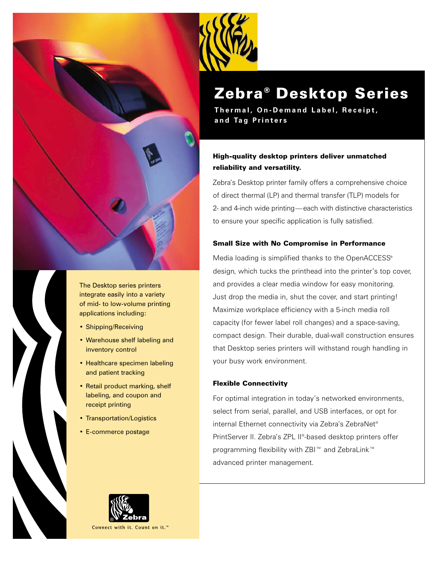



The Desktop series printers integrate easily into a variety of mid- to low-volume printing applications including:

- Shipping/Receiving
- Warehouse shelf labeling and inventory control
- Healthcare specimen labeling and patient tracking
- Retail product marking, shelf labeling, and coupon and receipt printing
- Transportation/Logistics
- E-commerce postage



# Zebra® Desktop Series

**Thermal, On-Demand Label, Receipt, and Tag Printers**

# High-quality desktop printers deliver unmatched reliability and versatility.

Zebra's Desktop printer family offers a comprehensive choice of direct thermal (LP) and thermal transfer (TLP) models for 2- and 4-inch wide printing—each with distinctive characteristics to ensure your specific application is fully satisfied.

# Small Size with No Compromise in Performance

Media loading is simplified thanks to the OpenACCESS® design, which tucks the printhead into the printer's top cover, and provides a clear media window for easy monitoring. Just drop the media in, shut the cover, and start printing! Maximize workplace efficiency with a 5-inch media roll capacity (for fewer label roll changes) and a space-saving, compact design. Their durable, dual-wall construction ensures that Desktop series printers will withstand rough handling in your busy work environment.

# Flexible Connectivity

For optimal integration in today's networked environments, select from serial, parallel, and USB interfaces, or opt for internal Ethernet connectivity via Zebra's ZebraNet® PrintServer II. Zebra's ZPL II®-based desktop printers offer programming flexibility with ZBI™ and ZebraLink™ advanced printer management.

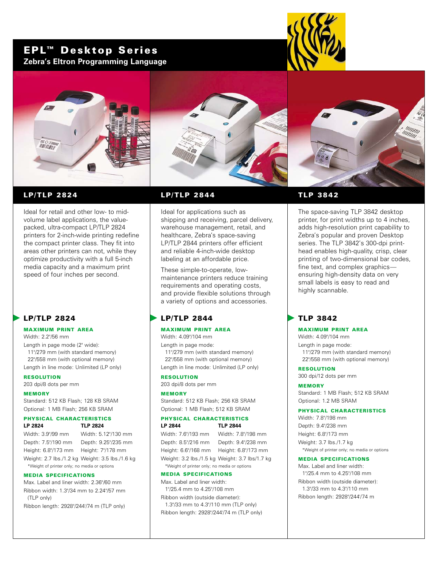# EPL™ Desktop Series **Zebra's Eltron Programming Language**









# LP/TLP 2824

Ideal for retail and other low- to midvolume label applications, the valuepacked, ultra-compact LP/TLP 2824 printers for 2-inch-wide printing redefine the compact printer class. They fit into areas other printers can not, while they optimize productivity with a full 5-inch media capacity and a maximum print speed of four inches per second.

# LP/TLP 2824

# MAXIMUM PRINT AREA

Width: 2.2"/56 mm Length in page mode (2" wide): 11"/279 mm (with standard memory) 22"/558 mm (with optional memory)

Length in line mode: Unlimited (LP only)

RESOLUTION 203 dpi/8 dots per mm

#### MEMORY

Standard: 512 KB Flash; 128 KB SRAM Optional: 1 MB Flash; 256 KB SRAM

# PHYSICAL CHARACTERISTICS

# **LP 2824 TLP 2824**

Width: 3.9"/99 mm Width: 5.12"/130 mm Depth: 7.5"/190 mm Depth: 9.25"/235 mm Height: 6.8"/173 mm Height: 7"/178 mm Weight: 2.7 lbs./1.2 kg Weight: 3.5 lbs./1.6 kg \*Weight of printer only; no media or options

#### MEDIA SPECIFICATIONS

Max. Label and liner width: 2.36"/60 mm Ribbon width: 1.3"/34 mm to 2.24"/57 mm (TLP only)

Ribbon length: 2928"/244'/74 m (TLP only)

# LP/TLP 2844

Ideal for applications such as shipping and receiving, parcel delivery, warehouse management, retail, and healthcare, Zebra's space-saving LP/TLP 2844 printers offer efficient and reliable 4-inch-wide desktop labeling at an affordable price.

These simple-to-operate, lowmaintenance printers reduce training requirements and operating costs, and provide flexible solutions through a variety of options and accessories.

# LP/TLP 2844

#### MAXIMUM PRINT AREA

Width: 4.09"/104 mm Length in page mode: 11"/279 mm (with standard memory) 22"/558 mm (with optional memory)

Length in line mode: Unlimited (LP only)

#### RESOLUTION

203 dpi/8 dots per mm

#### MEMORY

Standard: 512 KB Flash; 256 KB SRAM Optional: 1 MB Flash; 512 KB SRAM

#### PHYSICAL CHARACTERISTICS **LP 2844 TLP 2844**

Width: 7.6"/193 mm Width: 7.8"/198 mm Depth: 8.5"/216 mm Depth: 9.4"/238 mm Height: 6.6"/168 mm Height: 6.8"/173 mm Weight: 3.2 lbs./1.5 kg Weight: 3.7 lbs/1.7 kg

\*Weight of printer only; no media or options

#### MEDIA SPECIFICATIONS

Max. Label and liner width: 1"/25.4 mm to 4.25"/108 mm

Ribbon width (outside diameter): 1.3"/33 mm to 4.3"/110 mm (TLP only) Ribbon length: 2928"/244'/74 m (TLP only)

# TLP 3842

The space-saving TLP 3842 desktop printer, for print widths up to 4 inches, adds high-resolution print capability to Zebra's popular and proven Desktop series. The TLP 3842's 300-dpi printhead enables high-quality, crisp, clear printing of two-dimensional bar codes, fine text, and complex graphics ensuring high-density data on very small labels is easy to read and highly scannable.

# TLP 3842

#### MAXIMUM PRINT AREA

Width: 4.09"/104 mm Length in page mode: 11"/279 mm (with standard memory) 22"/558 mm (with optional memory)

RESOLUTION 300 dpi/12 dots per mm

MEMORY Standard: 1 MB Flash; 512 KB SRAM Optional: 1.2 MB SRAM

#### PHYSICAL CHARACTERISTICS

Width: 7.8"/198 mm Depth: 9.4"/238 mm Height: 6.8"/173 mm Weight: 3.7 lbs./1.7 kg \*Weight of printer only; no media or options

#### MEDIA SPECIFICATIONS

Max. Label and liner width: 1"/25.4 mm to 4.25"/108 mm Ribbon width (outside diameter): 1.3"/33 mm to 4.3"/110 mm

Ribbon length: 2928"/244'/74 m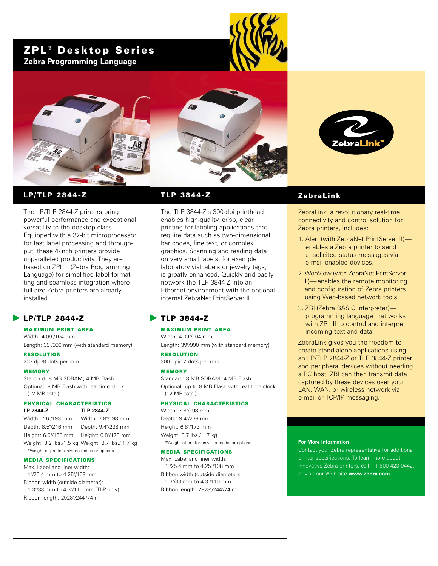# ZPL<sup>®</sup> Desktop Series **Zebra Programming Language**







# LP/TLP 2844-Z

The LP/TLP 2844-Z printers bring powerful performance and exceptional versatility to the desktop class. Equipped with a 32-bit microprocessor for fast label processing and throughput, these 4-inch printers provide unparalleled productivity. They are based on ZPL II (Zebra Programming Language) for simplified label formatting and seamless integration where full-size Zebra printers are already installed.

# LP/TLP 2844-Z

#### MAXIMUM PRINT AREA Width: 4.09"/104 mm

Length: 39"/990 mm (with standard memory)

RESOLUTION 203 dpi/8 dots per mm

# MEMORY

Standard: 8 MB SDRAM; 4 MB Flash Optional: 8 MB Flash with real time clock (12 MB total)

#### PHYSICAL CHARACTERISTICS **LP 2844-Z TLP 2844-Z**

Width: 7.6"/193 mm Width: 7.8"/198 mm Depth: 8.5"/216 mm Depth: 9.4"/238 mm Height: 6.6"/168 mm Height: 6.8"/173 mm Weight: 3.2 lbs./1.5 kg Weight: 3.7 lbs./ 1.7 kg \*Weight of printer only; no media or options

#### MEDIA SPECIFICATIONS

May. Label and liner width: 1"/25.4 mm to 4.25"/108 mm Ribbon width (outside diameter): 1.3"/33 mm to 4.3"/110 mm (TLP only) Ribbon length: 2928"/244'/74 m

## TLP 3844-Z

The TLP 3844-Z's 300-dpi printhead enables high-quality, crisp, clear printing for labeling applications that require data such as two-dimensional bar codes, fine text, or complex graphics. Scanning and reading data on very small labels, for example laboratory vial labels or jewelry tags, is greatly enhanced. Quickly and easily network the TLP 3844-Z into an Ethernet environment with the optional internal ZebraNet PrintServer II.

# TLP 3844-Z

#### MAXIMUM PRINT AREA Width: 4.09"/104 mm

Length: 39"/990 mm (with standard memory)

RESOLUTION 300 dpi/12 dots per mm

#### MEMORY

Standard: 8 MB SDRAM; 4 MB Flash Optional: up to 8 MB Flash with real time clock (12 MB total)

#### PHYSICAL CHARACTERISTICS

Width: 7.8"/198 mm Depth: 9.4"/238 mm Height: 6.8"/173 mm Weight: 3.7 lbs./ 1.7 kg \*Weight of printer only; no media or options

#### MEDIA SPECIFICATIONS

Max. Label and liner width: 1"/25.4 mm to 4.25"/108 mm Ribbon width (outside diameter): 1.3"/33 mm to 4.3"/110 mm Ribbon length: 2928"/244'/74 m

# ZebraLink

ZebraLink, a revolutionary real-time connectivity and control solution for Zebra printers, includes:

- 1. Alert (with ZebraNet PrintServer II) enables a Zebra printer to send unsolicited status messages via e-mail-enabled devices.
- 2. WebView (with ZebraNet PrintServer II)—enables the remote monitoring and configuration of Zebra printers using Web-based network tools.
- 3. ZBI (Zebra BASIC Interpreter) programming language that works with **ZPL II** to control and interpret incoming text and data.

ZebraLink gives you the freedom to create stand-alone applications using an LP/TLP 2844-Z or TLP 3844-Z printer and peripheral devices without needing a PC host. ZBI can then transmit data captured by these devices over your LAN, WAN, or wireless network via e-mail or TCP/IP messaging.

#### **For More Information**

Contact your Zebra representative for additional printer specifications. To learn more about innovative Zebra printers, call  $+1$  800 423 0442, or visit our Web site **www.zebra.com.**